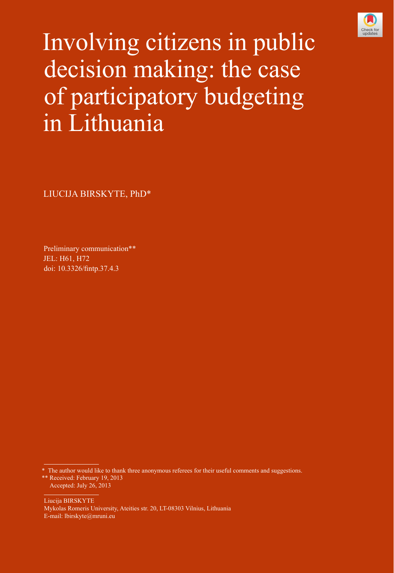

Involving citizens in public decision making: the case of participatory budgeting in Lithuania

LIUCIJA BIRSKYTE, PhD\*

Preliminary communication\*\* JEL: H61, H72 doi: [10.3326/fintp.37.4.3](http://dx.doi.org/10.3326/fintp.37.4.2)

The author would like to thank three anonymous referees for their useful comments and suggestions. \*\* Received: February 19, 2013 Accepted: July 26, 2013

Liucija BIRSKYTE Mykolas Romeris University, Ateities str. 20, LT-08303 Vilnius, Lithuania E-mail: lbirskyte@mruni.eu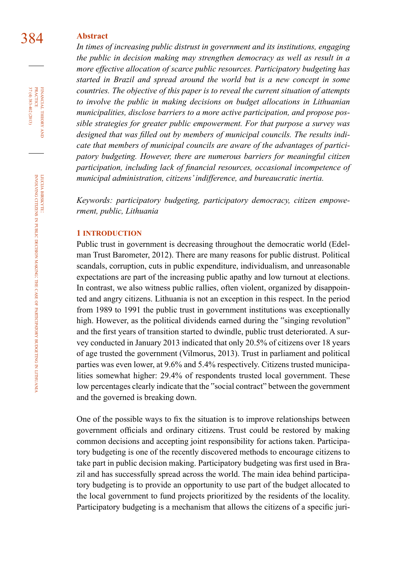# 384 **Abstract**

*In times of increasing public distrust in government and its institutions, engaging the public in decision making may strengthen democracy as well as result in a more effective allocation of scarce public resources. Participatory budgeting has started in Brazil and spread around the world but is a new concept in some countries. The objective of this paper is to reveal the current situation of attempts to involve the public in making decisions on budget allocations in Lithuanian municipalities, disclose barriers to a more active participation, and propose possible strategies for greater public empowerment. For that purpose a survey was designed that was filled out by members of municipal councils. The results indicate that members of municipal councils are aware of the advantages of participatory budgeting. However, there are numerous barriers for meaningful citizen participation, including lack of financial resources, occasional incompetence of municipal administration, citizens' indifference, and bureaucratic inertia.*

*Keywords: participatory budgeting, participatory democracy, citizen empowerment, public, Lithuania*

#### **1 introduction**

Public trust in government is decreasing throughout the democratic world (Edelman Trust Barometer, 2012). There are many reasons for public distrust. Political scandals, corruption, cuts in public expenditure, individualism, and unreasonable expectations are part of the increasing public apathy and low turnout at elections. In contrast, we also witness public rallies, often violent, organized by disappointed and angry citizens. Lithuania is not an exception in this respect. In the period from 1989 to 1991 the public trust in government institutions was exceptionally high. However, as the political dividends earned during the "singing revolution" and the first years of transition started to dwindle, public trust deteriorated. A survey conducted in January 2013 indicated that only 20.5% of citizens over 18 years of age trusted the government (Vilmorus, 2013). Trust in parliament and political parties was even lower, at 9.6% and 5.4% respectively. Citizens trusted municipalities somewhat higher: 29.4% of respondents trusted local government. These low percentages clearly indicate that the "social contract" between the government and the governed is breaking down.

One of the possible ways to fix the situation is to improve relationships between government officials and ordinary citizens. Trust could be restored by making common decisions and accepting joint responsibility for actions taken. Participatory budgeting is one of the recently discovered methods to encourage citizens to take part in public decision making. Participatory budgeting was first used in Brazil and has successfully spread across the world. The main idea behind participatory budgeting is to provide an opportunity to use part of the budget allocated to the local government to fund projects prioritized by the residents of the locality. Participatory budgeting is a mechanism that allows the citizens of a specific juri-

37 (4) 383-402 (2013) FINANCIAL THEORY PRACTICE 37 (4) 383-402 (2013) practice financial theory and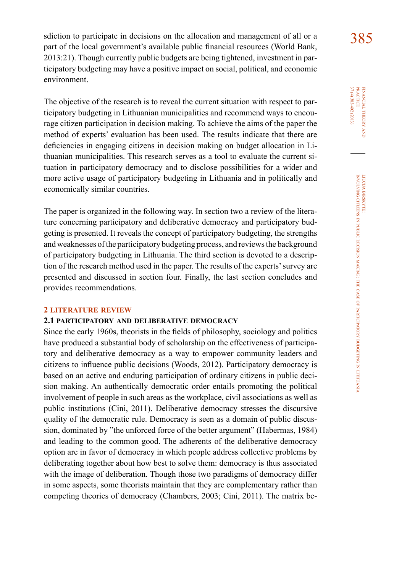sdiction to participate in decisions on the allocation and management of all or a  $385$ part of the local government's available public financial resources (World Bank, 2013:21). Though currently public budgets are being tightened, investment in participatory budgeting may have a positive impact on social, political, and economic environment.

The objective of the research is to reveal the current situation with respect to participatory budgeting in Lithuanian municipalities and recommend ways to encourage citizen participation in decision making. To achieve the aims of the paper the method of experts' evaluation has been used. The results indicate that there are deficiencies in engaging citizens in decision making on budget allocation in Lithuanian municipalities. This research serves as a tool to evaluate the current situation in participatory democracy and to disclose possibilities for a wider and more active usage of participatory budgeting in Lithuania and in politically and economically similar countries.

The paper is organized in the following way. In section two a review of the literature concerning participatory and deliberative democracy and participatory budgeting is presented. It reveals the concept of participatory budgeting, the strengths and weaknesses of the participatory budgeting process, and reviews the background of participatory budgeting in Lithuania. The third section is devoted to a description of the research method used in the paper. The results of the experts' survey are presented and discussed in section four. Finally, the last section concludes and provides recommendations.

### **2 literature review**

### **2.1 participatory and deliberative democracy**

Since the early 1960s, theorists in the fields of philosophy, sociology and politics have produced a substantial body of scholarship on the effectiveness of participatory and deliberative democracy as a way to empower community leaders and citizens to influence public decisions (Woods, 2012). Participatory democracy is based on an active and enduring participation of ordinary citizens in public decision making. An authentically democratic order entails promoting the political involvement of people in such areas as the workplace, civil associations as well as public institutions (Cini, 2011). Deliberative democracy stresses the discursive quality of the democratic rule. Democracy is seen as a domain of public discussion, dominated by "the unforced force of the better argument" (Habermas, 1984) and leading to the common good. The adherents of the deliberative democracy option are in favor of democracy in which people address collective problems by deliberating together about how best to solve them: democracy is thus associated with the image of deliberation. Though those two paradigms of democracy differ in some aspects, some theorists maintain that they are complementary rather than competing theories of democracy (Chambers, 2003; Cini, 2011). The matrix be37 (4) 383-402 (2013) FINANCIAL THEORY<br>PRACTICE 37 (4) 383-402 (2013) practice financial theory and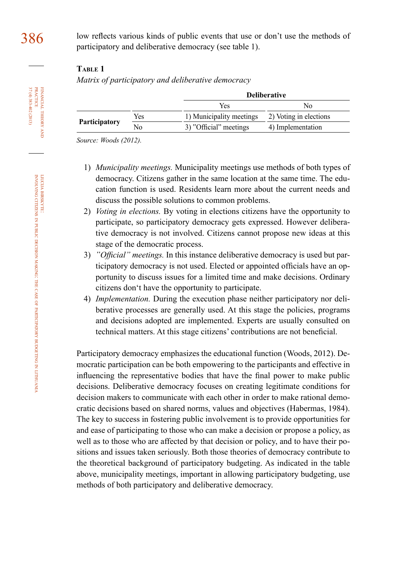# **Table 1**

*Matrix of participatory and deliberative democracy* 

|                      |     | <b>Deliberative</b>      |                        |  |
|----------------------|-----|--------------------------|------------------------|--|
|                      |     | Yes                      | No                     |  |
| <b>Participatory</b> | Yes | 1) Municipality meetings | 2) Voting in elections |  |
|                      | No  | 3) "Official" meetings   | 4) Implementation      |  |

*Source: Woods (2012).*

- 1) *Municipality meetings.* Municipality meetings use methods of both types of democracy. Citizens gather in the same location at the same time. The education function is used. Residents learn more about the current needs and discuss the possible solutions to common problems.
- 2) *Voting in elections.* By voting in elections citizens have the opportunity to participate, so participatory democracy gets expressed. However deliberative democracy is not involved. Citizens cannot propose new ideas at this stage of the democratic process.
- 3) *"Official" meetings.* In this instance deliberative democracy is used but participatory democracy is not used. Elected or appointed officials have an opportunity to discuss issues for a limited time and make decisions. Ordinary citizens don't have the opportunity to participate.
- 4) *Implementation.* During the execution phase neither participatory nor deliberative processes are generally used. At this stage the policies, programs and decisions adopted are implemented. Experts are usually consulted on technical matters. At this stage citizens' contributions are not beneficial.

Participatory democracy emphasizes the educational function (Woods, 2012). Democratic participation can be both empowering to the participants and effective in influencing the representative bodies that have the final power to make public decisions. Deliberative democracy focuses on creating legitimate conditions for decision makers to communicate with each other in order to make rational democratic decisions based on shared norms, values and objectives (Habermas, 1984). The key to success in fostering public involvement is to provide opportunities for and ease of participating to those who can make a decision or propose a policy, as well as to those who are affected by that decision or policy, and to have their positions and issues taken seriously. Both those theories of democracy contribute to the theoretical background of participatory budgeting. As indicated in the table above, municipality meetings, important in allowing participatory budgeting, use methods of both participatory and deliberative democracy.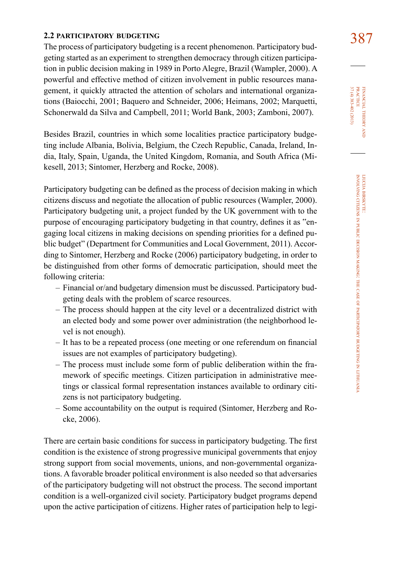387 **2.2 participatory budgeting** The process of participatory budgeting is a recent phenomenon. Participatory budgeting started as an experiment to strengthen democracy through citizen participation in public decision making in 1989 in Porto Alegre, Brazil (Wampler, 2000). A powerful and effective method of citizen involvement in public resources management, it quickly attracted the attention of scholars and international organizations (Baiocchi, 2001; Baquero and Schneider, 2006; Heimans, 2002; Marquetti, Schonerwald da Silva and Campbell, 2011; World Bank, 2003; Zamboni, 2007).

Besides Brazil, countries in which some localities practice participatory budgeting include Albania, Bolivia, Belgium, the Czech Republic, Canada, Ireland, India, Italy, Spain, Uganda, the United Kingdom, Romania, and South Africa (Mikesell, 2013; Sintomer, Herzberg and Rocke, 2008).

Participatory budgeting can be defined as the process of decision making in which citizens discuss and negotiate the allocation of public resources (Wampler, 2000). Participatory budgeting unit, a project funded by the UK government with to the purpose of encouraging participatory budgeting in that country, defines it as "engaging local citizens in making decisions on spending priorities for a defined public budget" (Department for Communities and Local Government, 2011). According to Sintomer, Herzberg and Rocke (2006) participatory budgeting, in order to be distinguished from other forms of democratic participation, should meet the following criteria:

- Financial or/and budgetary dimension must be discussed. Participatory budgeting deals with the problem of scarce resources.
- The process should happen at the city level or a decentralized district with an elected body and some power over administration (the neighborhood level is not enough).
- It has to be a repeated process (one meeting or one referendum on financial issues are not examples of participatory budgeting).
- The process must include some form of public deliberation within the framework of specific meetings. Citizen participation in administrative meetings or classical formal representation instances available to ordinary citizens is not participatory budgeting.
- Some accountability on the output is required (Sintomer, Herzberg and Rocke, 2006).

There are certain basic conditions for success in participatory budgeting. The first condition is the existence of strong progressive municipal governments that enjoy strong support from social movements, unions, and non-governmental organizations. A favorable broader political environment is also needed so that adversaries of the participatory budgeting will not obstruct the process. The second important condition is a well-organized civil society. Participatory budget programs depend upon the active participation of citizens. Higher rates of participation help to legi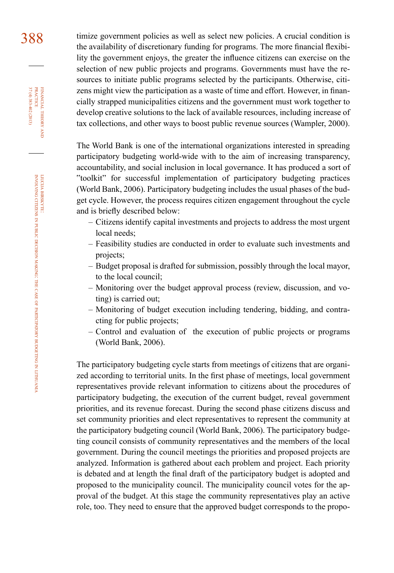388 timize government policies as well as select new policies. A crucial condition is the availability of discretionary funding for programs. The more financial flexibility the government enjoys, the greater the influence citizens can exercise on the selection of new public projects and programs. Governments must have the resources to initiate public programs selected by the participants. Otherwise, citizens might view the participation as a waste of time and effort. However, in financially strapped municipalities citizens and the government must work together to develop creative solutions to the lack of available resources, including increase of tax collections, and other ways to boost public revenue sources (Wampler, 2000).

> The World Bank is one of the international organizations interested in spreading participatory budgeting world-wide with to the aim of increasing transparency, accountability, and social inclusion in local governance. It has produced a sort of "toolkit" for successful implementation of participatory budgeting practices (World Bank, 2006). Participatory budgeting includes the usual phases of the budget cycle. However, the process requires citizen engagement throughout the cycle and is briefly described below:

- Citizens identify capital investments and projects to address the most urgent local needs;
- Feasibility studies are conducted in order to evaluate such investments and projects;
- Budget proposal is drafted for submission, possibly through the local mayor, to the local council;
- Monitoring over the budget approval process (review, discussion, and voting) is carried out;
- Monitoring of budget execution including tendering, bidding, and contracting for public projects;
- Control and evaluation of the execution of public projects or programs (World Bank, 2006).

The participatory budgeting cycle starts from meetings of citizens that are organized according to territorial units. In the first phase of meetings, local government representatives provide relevant information to citizens about the procedures of participatory budgeting, the execution of the current budget, reveal government priorities, and its revenue forecast. During the second phase citizens discuss and set community priorities and elect representatives to represent the community at the participatory budgeting council (World Bank, 2006). The participatory budgeting council consists of community representatives and the members of the local government. During the council meetings the priorities and proposed projects are analyzed. Information is gathered about each problem and project. Each priority is debated and at length the final draft of the participatory budget is adopted and proposed to the municipality council. The municipality council votes for the approval of the budget. At this stage the community representatives play an active role, too. They need to ensure that the approved budget corresponds to the propo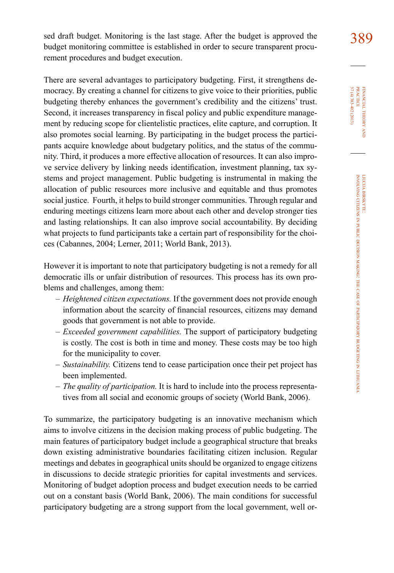sed draft budget. Monitoring is the last stage. After the budget is approved the 389 budget monitoring committee is established in order to secure transparent procurement procedures and budget execution.

There are several advantages to participatory budgeting. First, it strengthens democracy. By creating a channel for citizens to give voice to their priorities, public budgeting thereby enhances the government's credibility and the citizens' trust. Second, it increases transparency in fiscal policy and public expenditure management by reducing scope for clientelistic practices, elite capture, and corruption. It also promotes social learning. By participating in the budget process the participants acquire knowledge about budgetary politics, and the status of the community. Third, it produces a more effective allocation of resources. It can also improve service delivery by linking needs identification, investment planning, tax systems and project management. Public budgeting is instrumental in making the allocation of public resources more inclusive and equitable and thus promotes social justice. Fourth, it helps to build stronger communities. Through regular and enduring meetings citizens learn more about each other and develop stronger ties and lasting relationships. It can also improve social accountability. By deciding what projects to fund participants take a certain part of responsibility for the choices (Cabannes, 2004; Lerner, 2011; World Bank, 2013).

However it is important to note that participatory budgeting is not a remedy for all democratic ills or unfair distribution of resources. This process has its own problems and challenges, among them:

- *Heightened citizen expectations.* If the government does not provide enough information about the scarcity of financial resources, citizens may demand goods that government is not able to provide.
- *Exceeded government capabilities.* The support of participatory budgeting is costly. The cost is both in time and money. These costs may be too high for the municipality to cover.
- *Sustainability.* Citizens tend to cease participation once their pet project has been implemented.
- *The quality of participation.* It is hard to include into the process representatives from all social and economic groups of society (World Bank, 2006).

To summarize, the participatory budgeting is an innovative mechanism which aims to involve citizens in the decision making process of public budgeting. The main features of participatory budget include a geographical structure that breaks down existing administrative boundaries facilitating citizen inclusion. Regular meetings and debates in geographical units should be organized to engage citizens in discussions to decide strategic priorities for capital investments and services. Monitoring of budget adoption process and budget execution needs to be carried out on a constant basis (World Bank, 2006). The main conditions for successful participatory budgeting are a strong support from the local government, well or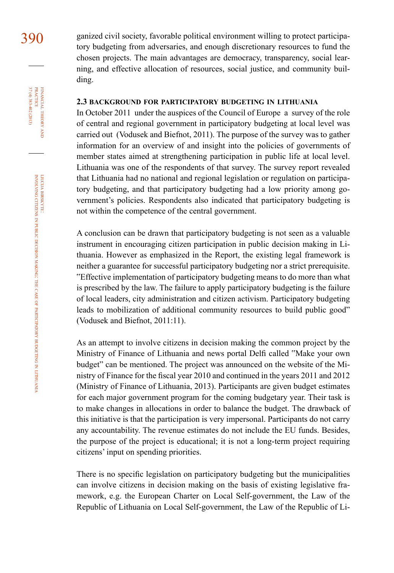390 ganized civil society, favorable political environment willing to protect participatory budgeting from adversaries, and enough discretionary resources to fund the chosen projects. The main advantages are democracy, transparency, social learning, and effective allocation of resources, social justice, and community building.

### **2.3 background for participatory budgeting in lithuania**

In October 2011 under the auspices of the Council of Europe a survey of the role of central and regional government in participatory budgeting at local level was carried out (Vodusek and Biefnot, 2011). The purpose of the survey was to gather information for an overview of and insight into the policies of governments of member states aimed at strengthening participation in public life at local level. Lithuania was one of the respondents of that survey. The survey report revealed that Lithuania had no national and regional legislation or regulation on participatory budgeting, and that participatory budgeting had a low priority among government's policies. Respondents also indicated that participatory budgeting is not within the competence of the central government.

A conclusion can be drawn that participatory budgeting is not seen as a valuable instrument in encouraging citizen participation in public decision making in Lithuania. However as emphasized in the Report, the existing legal framework is neither a guarantee for successful participatory budgeting nor a strict prerequisite. "Effective implementation of participatory budgeting means to do more than what is prescribed by the law. The failure to apply participatory budgeting is the failure of local leaders, city administration and citizen activism. Participatory budgeting leads to mobilization of additional community resources to build public good" (Vodusek and Biefnot, 2011:11).

As an attempt to involve citizens in decision making the common project by the Ministry of Finance of Lithuania and news portal Delfi called "Make your own budget" can be mentioned. The project was announced on the website of the Ministry of Finance for the fiscal year 2010 and continued in the years 2011 and 2012 (Ministry of Finance of Lithuania, 2013). Participants are given budget estimates for each major government program for the coming budgetary year. Their task is to make changes in allocations in order to balance the budget. The drawback of this initiative is that the participation is very impersonal. Participants do not carry any accountability. The revenue estimates do not include the EU funds. Besides, the purpose of the project is educational; it is not a long-term project requiring citizens' input on spending priorities.

There is no specific legislation on participatory budgeting but the municipalities can involve citizens in decision making on the basis of existing legislative framework, e.g. the European Charter on Local Self-government, the Law of the Republic of Lithuania on Local Self-government, the Law of the Republic of Li-

financial

FINANCIAL THEORY<br>PRACTICE 37 (4) 383-402 (2013)

37 (4) 383-402 (2013) practice

theory and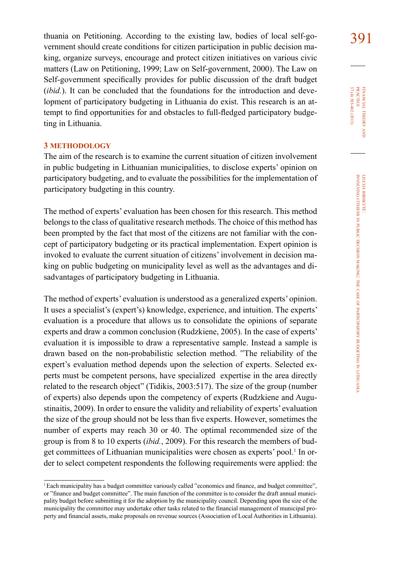thuania on Petitioning. According to the existing law, bodies of local self-go-<br>391 vernment should create conditions for citizen participation in public decision making, organize surveys, encourage and protect citizen initiatives on various civic matters (Law on Petitioning, 1999; Law on Self-government, 2000). The Law on Self-government specifically provides for public discussion of the draft budget (*ibid.*). It can be concluded that the foundations for the introduction and development of participatory budgeting in Lithuania do exist. This research is an attempt to find opportunities for and obstacles to full-fledged participatory budgeting in Lithuania.

# **3 methodology**

The aim of the research is to examine the current situation of citizen involvement in public budgeting in Lithuanian municipalities, to disclose experts' opinion on participatory budgeting, and to evaluate the possibilities for the implementation of participatory budgeting in this country.

The method of experts' evaluation has been chosen for this research. This method belongs to the class of qualitative research methods. The choice of this method has been prompted by the fact that most of the citizens are not familiar with the concept of participatory budgeting or its practical implementation. Expert opinion is invoked to evaluate the current situation of citizens' involvement in decision making on public budgeting on municipality level as well as the advantages and disadvantages of participatory budgeting in Lithuania.

The method of experts' evaluation is understood as a generalized experts' opinion. It uses a specialist's (expert's) knowledge, experience, and intuition. The experts' evaluation is a procedure that allows us to consolidate the opinions of separate experts and draw a common conclusion (Rudzkiene, 2005). In the case of experts' evaluation it is impossible to draw a representative sample. Instead a sample is drawn based on the non-probabilistic selection method. "The reliability of the expert's evaluation method depends upon the selection of experts. Selected experts must be competent persons, have specialized expertise in the area directly related to the research object" (Tidikis, 2003:517). The size of the group (number of experts) also depends upon the competency of experts (Rudzkiene and Augustinaitis, 2009). In order to ensure the validity and reliability of experts' evaluation the size of the group should not be less than five experts. However, sometimes the number of experts may reach 30 or 40. The optimal recommended size of the group is from 8 to 10 experts (*ibid.*, 2009). For this research the members of budget committees of Lithuanian municipalities were chosen as experts' pool.<sup>1</sup> In order to select competent respondents the following requirements were applied: the

<sup>1</sup>Each municipality has a budget committee variously called "economics and finance, and budget committee", or "finance and budget committee". The main function of the committee is to consider the draft annual municipality budget before submitting it for the adoption by the municipality council. Depending upon the size of the municipality the committee may undertake other tasks related to the financial management of municipal property and financial assets, make proposals on revenue sources (Association of Local Authorities in Lithuania).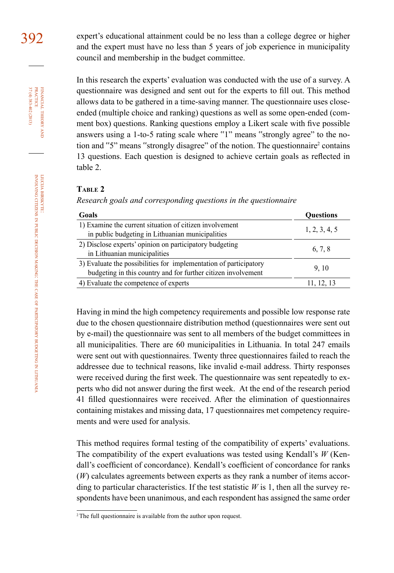392 expert's educational attainment could be no less than a college degree or higher and the expert must have no less than 5 years of job experience in municipality council and membership in the budget committee.

> In this research the experts' evaluation was conducted with the use of a survey. A questionnaire was designed and sent out for the experts to fill out. This method allows data to be gathered in a time-saving manner. The questionnaire uses closeended (multiple choice and ranking) questions as well as some open-ended (comment box) questions. Ranking questions employ a Likert scale with five possible answers using a 1-to-5 rating scale where "1" means "strongly agree" to the notion and "5" means "strongly disagree" of the notion. The questionnaire<sup>2</sup> contains 13 questions. Each question is designed to achieve certain goals as reflected in table 2.

#### **Table 2**

*Research goals and corresponding questions in the questionnaire* 

| Goals                                                             | <b>Ouestions</b> |
|-------------------------------------------------------------------|------------------|
| 1) Examine the current situation of citizen involvement           | 1, 2, 3, 4, 5    |
| in public budgeting in Lithuanian municipalities                  |                  |
| 2) Disclose experts' opinion on participatory budgeting           | 6, 7, 8          |
| in Lithuanian municipalities                                      |                  |
| 3) Evaluate the possibilities for implementation of participatory | 9, 10            |
| budgeting in this country and for further citizen involvement     |                  |
| 4) Evaluate the competence of experts                             | 11, 12, 13       |
|                                                                   |                  |

Having in mind the high competency requirements and possible low response rate due to the chosen questionnaire distribution method (questionnaires were sent out by e-mail) the questionnaire was sent to all members of the budget committees in all municipalities. There are 60 municipalities in Lithuania. In total 247 emails were sent out with questionnaires. Twenty three questionnaires failed to reach the addressee due to technical reasons, like invalid e-mail address. Thirty responses were received during the first week. The questionnaire was sent repeatedly to experts who did not answer during the first week. At the end of the research period 41 filled questionnaires were received. After the elimination of questionnaires containing mistakes and missing data, 17 questionnaires met competency requirements and were used for analysis.

This method requires formal testing of the compatibility of experts' evaluations. The compatibility of the expert evaluations was tested using Kendall's *W* (Kendall's coefficient of concordance). Kendall's coefficient of concordance for ranks (*W*) calculates agreements between experts as they rank a number of items according to particular characteristics. If the test statistic  $W$  is 1, then all the survey respondents have been unanimous, and each respondent has assigned the same order

FINANCIAL THEORY PRACTICE 37 (4) 383-402 (2013) 37 (4) 383-402 (2013) practice financial theory and

<sup>2</sup> The full questionnaire is available from the author upon request.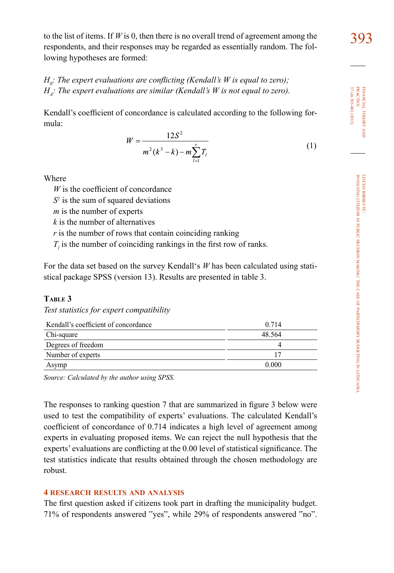to the list of items. If *W* is 0, then there is no overall trend of agreement among the  $393$ respondents, and their responses may be regarded as essentially random. The following hypotheses are formed:

*H<sub>0</sub>*: The expert evaluations are conflicting (Kendall's W is equal to zero);  $H<sub>i</sub>$ : The expert evaluations are similar (Kendall's W is not equal to zero).

Kendall's coefficient of concordance is calculated according to the following formula:

$$
W = \frac{12S^2}{m^2(k^3 - k) - m\sum_{l=1}^{r} T_l}
$$
 (1)

Where

*W* is the coefficient of concordance

 $S<sup>2</sup>$  is the sum of squared deviations

*m* is the number of experts

*k* is the number of alternatives

*r* is the number of rows that contain coinciding ranking

 $T_l$  is the number of coinciding rankings in the first row of ranks.

For the data set based on the survey Kendall's *W* has been calculated using statistical package SPSS (version 13). Results are presented in table 3.

# **Table 3**

*Test statistics for expert compatibility*

| Kendall's coefficient of concordance | 0.714  |  |
|--------------------------------------|--------|--|
| Chi-square                           | 48.564 |  |
| Degrees of freedom                   |        |  |
| Number of experts                    |        |  |
| Asymp                                | 0.000  |  |

*Source: Calculated by the author using SPSS.*

The responses to ranking question 7 that are summarized in figure 3 below were used to test the compatibility of experts' evaluations. The calculated Kendall's coefficient of concordance of 0.714 indicates a high level of agreement among experts in evaluating proposed items. We can reject the null hypothesis that the experts' evaluations are conflicting at the 0.00 level of statistical significance. The test statistics indicate that results obtained through the chosen methodology are robust.

# **4 research results and analysis**

The first question asked if citizens took part in drafting the municipality budget. 71% of respondents answered "yes", while 29% of respondents answered "no".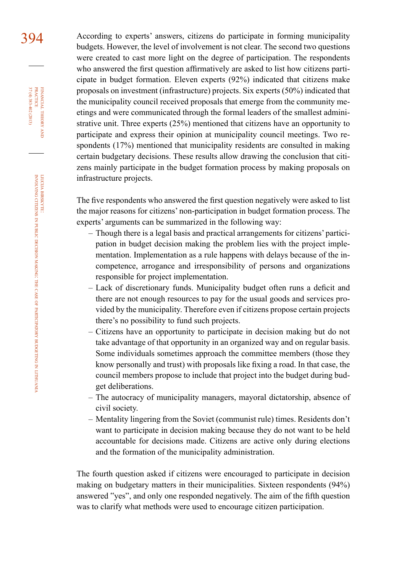394 According to experts' answers, citizens do participate in forming municipality budgets. However, the level of involvement is not clear. The second two questions were created to cast more light on the degree of participation. The respondents who answered the first question affirmatively are asked to list how citizens participate in budget formation. Eleven experts (92%) indicated that citizens make proposals on investment (infrastructure) projects. Six experts (50%) indicated that the municipality council received proposals that emerge from the community meetings and were communicated through the formal leaders of the smallest administrative unit. Three experts (25%) mentioned that citizens have an opportunity to participate and express their opinion at municipality council meetings. Two respondents (17%) mentioned that municipality residents are consulted in making certain budgetary decisions. These results allow drawing the conclusion that citizens mainly participate in the budget formation process by making proposals on infrastructure projects.

> The five respondents who answered the first question negatively were asked to list the major reasons for citizens' non-participation in budget formation process. The experts' arguments can be summarized in the following way:

- Though there is a legal basis and practical arrangements for citizens' participation in budget decision making the problem lies with the project implementation. Implementation as a rule happens with delays because of the incompetence, arrogance and irresponsibility of persons and organizations responsible for project implementation.
- Lack of discretionary funds. Municipality budget often runs a deficit and there are not enough resources to pay for the usual goods and services provided by the municipality. Therefore even if citizens propose certain projects there's no possibility to fund such projects.
- Citizens have an opportunity to participate in decision making but do not take advantage of that opportunity in an organized way and on regular basis. Some individuals sometimes approach the committee members (those they know personally and trust) with proposals like fixing a road. In that case, the council members propose to include that project into the budget during budget deliberations.
- The autocracy of municipality managers, mayoral dictatorship, absence of civil society.
- Mentality lingering from the Soviet (communist rule) times. Residents don't want to participate in decision making because they do not want to be held accountable for decisions made. Citizens are active only during elections and the formation of the municipality administration.

The fourth question asked if citizens were encouraged to participate in decision making on budgetary matters in their municipalities. Sixteen respondents (94%) answered "yes", and only one responded negatively. The aim of the fifth question was to clarify what methods were used to encourage citizen participation.

financial

FINANCIAL THEORY<br>PRACTICE 37 (4) 383-402 (2013)

37 (4) 383-402 (2013) practice

theory and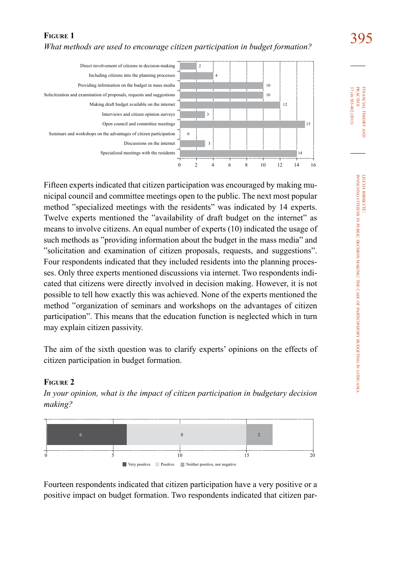# **FIGURE 1** <br>*What methods are used to encourage citizen participation in budget formation?* 295



Fifteen experts indicated that citizen participation was encouraged by making municipal council and committee meetings open to the public. The next most popular method "specialized meetings with the residents" was indicated by 14 experts. Twelve experts mentioned the "availability of draft budget on the internet" as means to involve citizens. An equal number of experts (10) indicated the usage of such methods as "providing information about the budget in the mass media" and "solicitation and examination of citizen proposals, requests, and suggestions". Four respondents indicated that they included residents into the planning processes. Only three experts mentioned discussions via internet. Two respondents indicated that citizens were directly involved in decision making. However, it is not possible to tell how exactly this was achieved. None of the experts mentioned the method "organization of seminars and workshops on the advantages of citizen participation". This means that the education function is neglected which in turn may explain citizen passivity.

The aim of the sixth question was to clarify experts' opinions on the effects of citizen participation in budget formation.

# **Figure 2**

*In your opinion, what is the impact of citizen participation in budgetary decision making?*



Fourteen respondents indicated that citizen participation have a very positive or a positive impact on budget formation. Two respondents indicated that citizen par-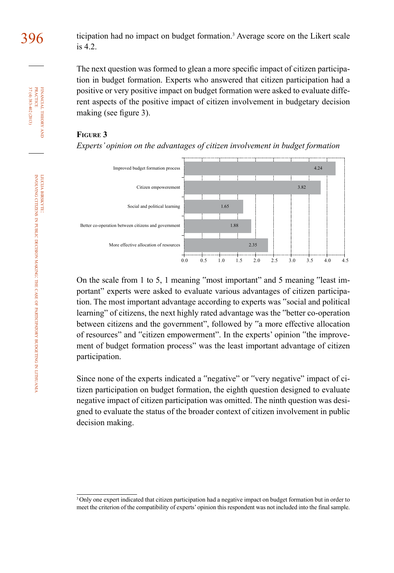$396$  ticipation had no impact on budget formation.<sup>3</sup> Average score on the Likert scale is 4.2.

> The next question was formed to glean a more specific impact of citizen participation in budget formation. Experts who answered that citizen participation had a positive or very positive impact on budget formation were asked to evaluate different aspects of the positive impact of citizen involvement in budgetary decision making (see figure 3).

# **Figure 3**

*Experts' opinion on the advantages of citizen involvement in budget formation*



On the scale from 1 to 5, 1 meaning "most important" and 5 meaning "least important" experts were asked to evaluate various advantages of citizen participation. The most important advantage according to experts was "social and political learning" of citizens, the next highly rated advantage was the "better co-operation between citizens and the government", followed by "a more effective allocation of resources" and "citizen empowerment". In the experts' opinion "the improvement of budget formation process" was the least important advantage of citizen participation.

Since none of the experts indicated a "negative" or "very negative" impact of citizen participation on budget formation, the eighth question designed to evaluate negative impact of citizen participation was omitted. The ninth question was designed to evaluate the status of the broader context of citizen involvement in public decision making.

theory and

<sup>&</sup>lt;sup>3</sup>Only one expert indicated that citizen participation had a negative impact on budget formation but in order to meet the criterion of the compatibility of experts' opinion this respondent was not included into the final sample.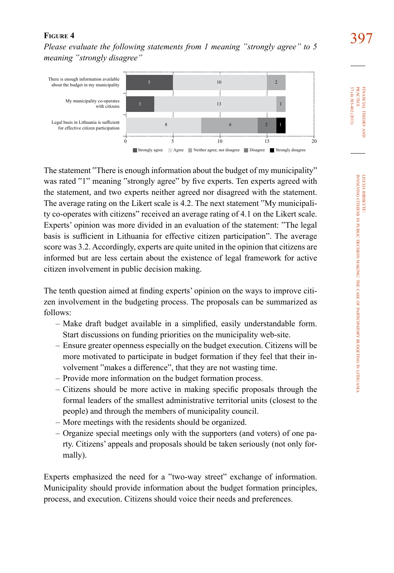**FIGURE 4 397**<br>*Please evaluate the following statements from 1 meaning "strongly agree" to 5 meaning "strongly disagree"*



The statement "There is enough information about the budget of my municipality" was rated "1" meaning "strongly agree" by five experts. Ten experts agreed with the statement, and two experts neither agreed nor disagreed with the statement. The average rating on the Likert scale is 4.2. The next statement "My municipality co-operates with citizens" received an average rating of 4.1 on the Likert scale. Experts' opinion was more divided in an evaluation of the statement: "The legal basis is sufficient in Lithuania for effective citizen participation". The average score was 3.2. Accordingly, experts are quite united in the opinion that citizens are informed but are less certain about the existence of legal framework for active citizen involvement in public decision making.

The tenth question aimed at finding experts' opinion on the ways to improve citizen involvement in the budgeting process. The proposals can be summarized as follows:

- Make draft budget available in a simplified, easily understandable form. Start discussions on funding priorities on the municipality web-site.
- Ensure greater openness especially on the budget execution. Citizens will be more motivated to participate in budget formation if they feel that their involvement "makes a difference", that they are not wasting time.
- Provide more information on the budget formation process.
- Citizens should be more active in making specific proposals through the formal leaders of the smallest administrative territorial units (closest to the people) and through the members of municipality council.
- More meetings with the residents should be organized.
- Organize special meetings only with the supporters (and voters) of one party. Citizens' appeals and proposals should be taken seriously (not only formally).

Experts emphasized the need for a "two-way street" exchange of information. Municipality should provide information about the budget formation principles, process, and execution. Citizens should voice their needs and preferences.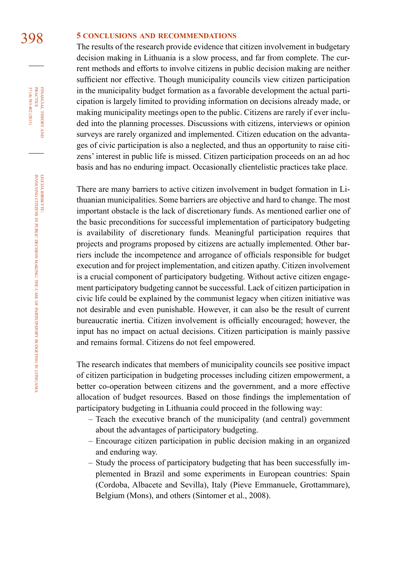# 398 **5 conclusions and recommendations**

The results of the research provide evidence that citizen involvement in budgetary decision making in Lithuania is a slow process, and far from complete. The current methods and efforts to involve citizens in public decision making are neither sufficient nor effective. Though municipality councils view citizen participation in the municipality budget formation as a favorable development the actual participation is largely limited to providing information on decisions already made, or making municipality meetings open to the public. Citizens are rarely if ever included into the planning processes. Discussions with citizens, interviews or opinion surveys are rarely organized and implemented. Citizen education on the advantages of civic participation is also a neglected, and thus an opportunity to raise citizens' interest in public life is missed. Citizen participation proceeds on an ad hoc basis and has no enduring impact. Occasionally clientelistic practices take place.

There are many barriers to active citizen involvement in budget formation in Lithuanian municipalities. Some barriers are objective and hard to change. The most important obstacle is the lack of discretionary funds. As mentioned earlier one of the basic preconditions for successful implementation of participatory budgeting is availability of discretionary funds. Meaningful participation requires that projects and programs proposed by citizens are actually implemented. Other barriers include the incompetence and arrogance of officials responsible for budget execution and for project implementation, and citizen apathy. Citizen involvement is a crucial component of participatory budgeting. Without active citizen engagement participatory budgeting cannot be successful. Lack of citizen participation in civic life could be explained by the communist legacy when citizen initiative was not desirable and even punishable. However, it can also be the result of current bureaucratic inertia. Citizen involvement is officially encouraged; however, the input has no impact on actual decisions. Citizen participation is mainly passive and remains formal. Citizens do not feel empowered.

The research indicates that members of municipality councils see positive impact of citizen participation in budgeting processes including citizen empowerment, a better co-operation between citizens and the government, and a more effective allocation of budget resources. Based on those findings the implementation of participatory budgeting in Lithuania could proceed in the following way:

- Teach the executive branch of the municipality (and central) government about the advantages of participatory budgeting.
- Encourage citizen participation in public decision making in an organized and enduring way.
- Study the process of participatory budgeting that has been successfully implemented in Brazil and some experiments in European countries: Spain (Cordoba, Albacete and Sevilla), Italy (Pieve Emmanuele, Grottammare), Belgium (Mons), and others (Sintomer et al., 2008).

FINANCIAL THEORY<br>PRACTICE 37 (4) 383-402 (2013) 37 (4) 383-402 (2013) practice financial theory and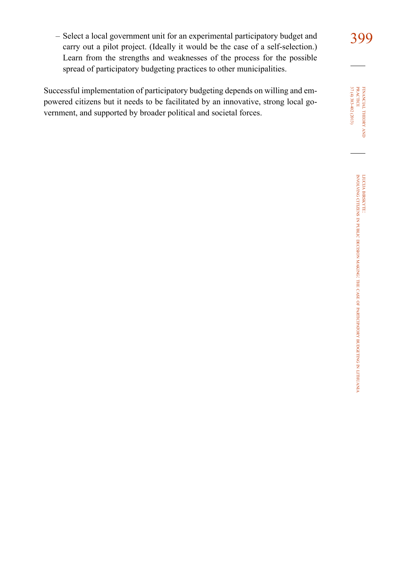- Select a local government unit for an experimental participatory budget and 399 carry out a pilot project. (Ideally it would be the case of a self-selection.) Learn from the strengths and weaknesses of the process for the possible spread of participatory budgeting practices to other municipalities.

Successful implementation of participatory budgeting depends on willing and empowered citizens but it needs to be facilitated by an innovative, strong local government, and supported by broader political and societal forces.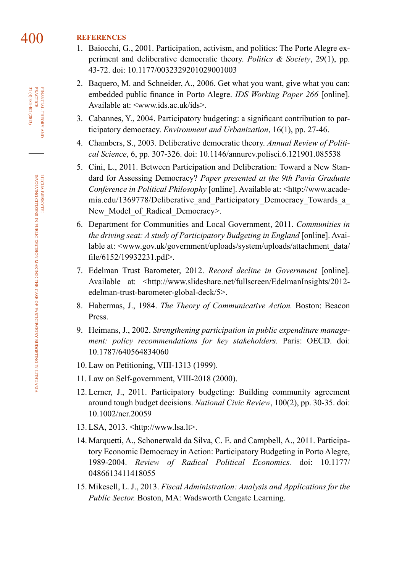# 400 **references**

- 1. Baiocchi, G., 2001. Participation, activism, and politics: The Porte Alegre experiment and deliberative democratic theory. *Politics & Society*, 29(1), pp. 43-72. doi: [10.1177/0032329201029001003](http://dx.doi.org/10.1177/0032329201029001003)
- 2. Baquero, M. and Schneider, A., 2006. Get what you want, give what you can: embedded public finance in Porto Alegre. *IDS Working Paper 266* [online]. Available at: [<www.ids.ac.uk/ids](http://www.ids.ac.uk/ids)>.
- 3. Cabannes, Y., 2004. Participatory budgeting: a significant contribution to participatory democracy. *Environment and Urbanization*, 16(1), pp. 27-46.
- 4. Chambers, S., 2003. Deliberative democratic theory. *Annual Review of Political Science*, 6, pp. 307-326. doi: [10.1146/annurev.polisci.6.121901.085538](http://dx.doi.org/10.1146/annurev.polisci.6.121901.085538)
- 5. Cini, L., 2011. Between Participation and Deliberation: Toward a New Standard for Assessing Democracy? *Paper presented at the 9th Pavia Graduate Conference in Political Philosophy* [online]. Available at: [<http://www.acade](http://www.academia.edu/1369778/Deliberative_and_Participatory_Democracy_Towards_a_New_Model_of_Radical_Democracy)mia.edu/1369778/Deliberative and Participatory Democracy Towards a New Model of Radical Democracy>.
- 6. Department for Communities and Local Government, 2011. *Communities in the driving seat: A study of Participatory Budgeting in England* [online]. Avai-lable at: [<www.gov.uk/government/uploads/system/uploads/attachment\\_data/](http://www.gov.uk/government/uploads/system/uploads/attachment_data/file/6152/19932231.pdf) [file/6152/19932231.pdf](http://www.gov.uk/government/uploads/system/uploads/attachment_data/file/6152/19932231.pdf)>.
- 7. Edelman Trust Barometer, 2012. *Record decline in Government* [online]. Available at: [<http://www.slideshare.net/fullscreen/EdelmanInsights/2012](http://www.slideshare.net/fullscreen/EdelmanInsights/2012-edelman-trust-barometer-global-deck/5) [edelman-trust-barometer-global-deck/5](http://www.slideshare.net/fullscreen/EdelmanInsights/2012-edelman-trust-barometer-global-deck/5)>.
- 8. Habermas, J., 1984. *The Theory of Communicative Action.* Boston: Beacon Press.
- 9. Heimans, J., 2002. *Strengthening participation in public expenditure management: policy recommendations for key stakeholders.* Paris: OECD. doi: [10.1787/640564834060](http://dx.doi.org/10.1787/640564834060)
- 10. Law on Petitioning, VIII-1313 (1999).
- 11. Law on Self-government, VIII-2018 (2000).
- 12. Lerner, J., 2011. Participatory budgeting: Building community agreement around tough budget decisions. *National Civic Review*, 100(2), pp. 30-35. doi: [10.1002/ncr.20059](http://dx.doi.org/10.1002/ncr.20059)
- 13. LSA, 2013. <http://www.lsa.lt>.
- 14. Marquetti, A., Schonerwald da Silva, C. E. and Campbell, A., 2011. Participatory Economic Democracy in Action: Participatory Budgeting in Porto Alegre, 1989-2004. *Review of Radical Political Economics.* doi: [10.1177/](http://dx.doi.org/10.1177/0486613411418055) [0486613411418055](http://dx.doi.org/10.1177/0486613411418055)
- 15. Mikesell, L. J., 2013. *Fiscal Administration: Analysis and Applications for the Public Sector.* Boston, MA: Wadsworth Cengate Learning.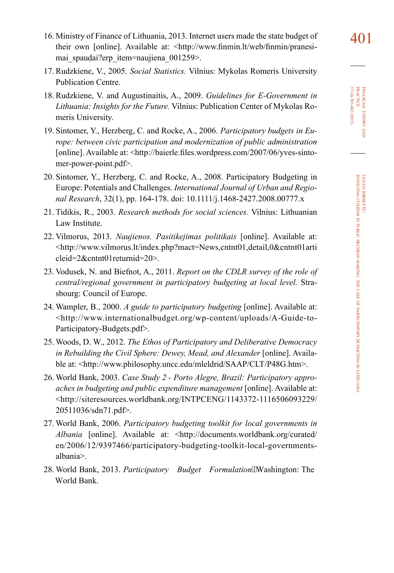- 16. Ministry of Finance of Lithuania, 2013. Internet users made the state budget of  $\overline{401}$ their own [online]. Available at: [<http://www.finmin.lt/web/finmin/pranesi](http://www.finmin.lt/web/finmin/pranesimai_spaudai?erp_item=naujiena_001259)mai spaudai?erp item=naujiena 001259>.
- 17. Rudzkiene, V., 2005. *Social Statistics.* Vilnius: Mykolas Romeris University Publication Centre.
- 18. Rudzkiene, V. and Augustinaitis, A., 2009. *Guidelines for E-Government in Lithuania: Insights for the Future.* Vilnius: Publication Center of Mykolas Romeris University.
- 19. Sintomer, Y., Herzberg, C. and Rocke, A., 2006. *Participatory budgets in Europe: between civic participation and modernization of public administration* [online]. Available at: [<http://baierle.files.wordpress.com/2007/06/yves-sinto](http://baierle.files.wordpress.com/2007/06/yves-sintomer-power-point.pdf)[mer-power-point.pdf](http://baierle.files.wordpress.com/2007/06/yves-sintomer-power-point.pdf)>.
- 20. Sintomer, Y., Herzberg, C. and Rocke, A., 2008. Participatory Budgeting in Europe: Potentials and Challenges. *International Journal of Urban and Regional Research*, 32(1), pp. 164-178. doi: [10.1111/j.1468-2427.2008.00777.x](http://dx.doi.org/10.1111/j.1468-2427.2008.00777.x)
- 21. Tidikis, R., 2003. *Research methods for social sciences.* Vilnius: Lithuanian Law Institute.
- 22. Vilmorus, 2013. *Naujienos. Pasitikejimas politikais* [online]. Available at: [<http://www.vilmorus.lt/index.php?mact=News,cntnt01,detail,0&cntnt01arti](http://www.vilmorus.lt/index.php?mact=News,cntnt01,detail,0&cntnt01articleid=2&cntnt01returnid=20) [cleid=2&cntnt01returnid=20](http://www.vilmorus.lt/index.php?mact=News,cntnt01,detail,0&cntnt01articleid=2&cntnt01returnid=20)>.
- 23. Vodusek, N. and Biefnot, A., 2011. *Report on the CDLR survey of the role of central/regional government in participatory budgeting at local level.* Strasbourg: Council of Europe.
- 24. Wampler, B., 2000. *A guide to participatory budgeting* [online]. Available at: [<http://www.internationalbudget.org/wp-content/uploads/A-Guide-to-](http://www.internationalbudget.org/wp-content/uploads/A-Guide-to-Participatory-Budgets.pdf)[Participatory-Budgets.pdf>](http://www.internationalbudget.org/wp-content/uploads/A-Guide-to-Participatory-Budgets.pdf).
- 25. Woods, D. W., 2012. *The Ethos of Participatory and Deliberative Democracy in Rebuilding the Civil Sphere: Dewey, Mead, and Alexander* [online]. Available at: [<http://www.philosophy.uncc.edu/mleldrid/SAAP/CLT/P48G.htm>](http://www.philosophy.uncc.edu/mleldrid/SAAP/CLT/P48G.htm).
- 26. World Bank, 2003. *Case Study 2 Porto Alegre, Brazil: Participatory approaches in budgeting and public expenditure management* [online]. Available at: [<http://siteresources.worldbank.org/INTPCENG/1143372-1116506093229/](http://siteresources.worldbank.org/INTPCENG/1143372-1116506093229/20511036/sdn71.pdf) [20511036/sdn71.pdf](http://siteresources.worldbank.org/INTPCENG/1143372-1116506093229/20511036/sdn71.pdf)>.
- 27. World Bank, 2006. *Participatory budgeting toolkit for local governments in Albania* [online]. Available at: [<http://documents.worldbank.org/curated/](http://documents.worldbank.org/curated/en/2006/12/9397466/participatory-budgeting-toolkit-local-governments-albania) [en/2006/12/9397466/participatory-budgeting-toolkit-local-governments](http://documents.worldbank.org/curated/en/2006/12/9397466/participatory-budgeting-toolkit-local-governments-albania)[albania](http://documents.worldbank.org/curated/en/2006/12/9397466/participatory-budgeting-toolkit-local-governments-albania)>.
- 28. World Bank, 2013. *Participatory Budget Formulation*Washington: The World Bank.